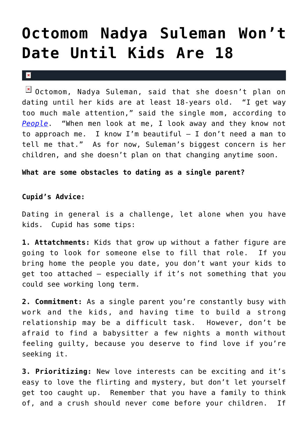## **[Octomom Nadya Suleman Won't](https://cupidspulse.com/29310/octomom-nadya-suleman-no-dating-kids-18/) [Date Until Kids Are 18](https://cupidspulse.com/29310/octomom-nadya-suleman-no-dating-kids-18/)**

## $\vert \mathbf{x} \vert$

**E** Octomom, Nadya Suleman, said that she doesn't plan on dating until her kids are at least 18-years old. "I get way too much male attention," said the single mom, according to *[People](http://www.people.com/people/article/0,,20582225,00.html)*. "When men look at me, I look away and they know not to approach me. I know I'm beautiful — I don't need a man to tell me that." As for now, Suleman's biggest concern is her children, and she doesn't plan on that changing anytime soon.

## **What are some obstacles to dating as a single parent?**

## **Cupid's Advice:**

Dating in general is a challenge, let alone when you have kids. Cupid has some tips:

**1. Attatchments:** Kids that grow up without a father figure are going to look for someone else to fill that role. If you bring home the people you date, you don't want your kids to get too attached – especially if it's not something that you could see working long term.

**2. Commitment:** As a single parent you're constantly busy with work and the kids, and having time to build a strong relationship may be a difficult task. However, don't be afraid to find a babysitter a few nights a month without feeling guilty, because you deserve to find love if you're seeking it.

**3. Prioritizing:** New love interests can be exciting and it's easy to love the flirting and mystery, but don't let yourself get too caught up. Remember that you have a family to think of, and a crush should never come before your children. If